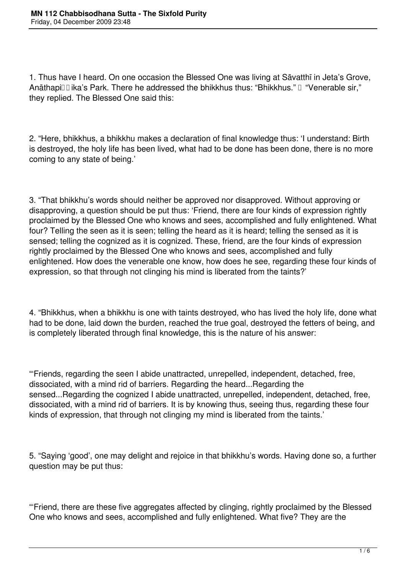1. Thus have I heard. On one occasion the Blessed One was living at Sāvatthī in Jeta's Grove, Anāthapiūūika's Park. There he addressed the bhikkhus thus: "Bhikkhus." [ "Venerable sir," they replied. The Blessed One said this:

2. "Here, bhikkhus, a bhikkhu makes a declaration of final knowledge thus: 'I understand: Birth is destroyed, the holy life has been lived, what had to be done has been done, there is no more coming to any state of being.'

3. "That bhikkhu's words should neither be approved nor disapproved. Without approving or disapproving, a question should be put thus: 'Friend, there are four kinds of expression rightly proclaimed by the Blessed One who knows and sees, accomplished and fully enlightened. What four? Telling the seen as it is seen; telling the heard as it is heard; telling the sensed as it is sensed; telling the cognized as it is cognized. These, friend, are the four kinds of expression rightly proclaimed by the Blessed One who knows and sees, accomplished and fully enlightened. How does the venerable one know, how does he see, regarding these four kinds of expression, so that through not clinging his mind is liberated from the taints?'

4. "Bhikkhus, when a bhikkhu is one with taints destroyed, who has lived the holy life, done what had to be done, laid down the burden, reached the true goal, destroyed the fetters of being, and is completely liberated through final knowledge, this is the nature of his answer:

"'Friends, regarding the seen I abide unattracted, unrepelled, independent, detached, free, dissociated, with a mind rid of barriers. Regarding the heard...Regarding the sensed...Regarding the cognized I abide unattracted, unrepelled, independent, detached, free, dissociated, with a mind rid of barriers. It is by knowing thus, seeing thus, regarding these four kinds of expression, that through not clinging my mind is liberated from the taints.'

5. "Saying 'good', one may delight and rejoice in that bhikkhu's words. Having done so, a further question may be put thus:

"'Friend, there are these five aggregates affected by clinging, rightly proclaimed by the Blessed One who knows and sees, accomplished and fully enlightened. What five? They are the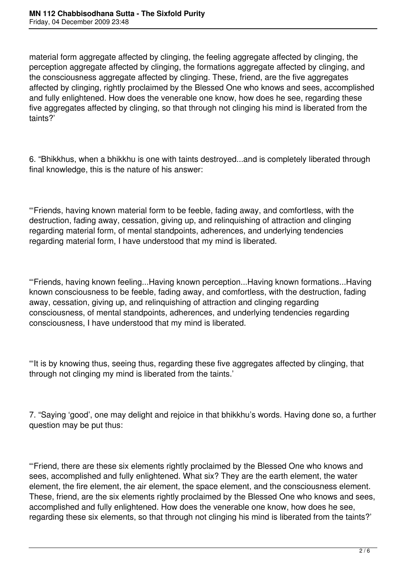material form aggregate affected by clinging, the feeling aggregate affected by clinging, the perception aggregate affected by clinging, the formations aggregate affected by clinging, and the consciousness aggregate affected by clinging. These, friend, are the five aggregates affected by clinging, rightly proclaimed by the Blessed One who knows and sees, accomplished and fully enlightened. How does the venerable one know, how does he see, regarding these five aggregates affected by clinging, so that through not clinging his mind is liberated from the taints?'

6. "Bhikkhus, when a bhikkhu is one with taints destroyed...and is completely liberated through final knowledge, this is the nature of his answer:

"'Friends, having known material form to be feeble, fading away, and comfortless, with the destruction, fading away, cessation, giving up, and relinquishing of attraction and clinging regarding material form, of mental standpoints, adherences, and underlying tendencies regarding material form, I have understood that my mind is liberated.

"'Friends, having known feeling...Having known perception...Having known formations...Having known consciousness to be feeble, fading away, and comfortless, with the destruction, fading away, cessation, giving up, and relinquishing of attraction and clinging regarding consciousness, of mental standpoints, adherences, and underlying tendencies regarding consciousness, I have understood that my mind is liberated.

"'It is by knowing thus, seeing thus, regarding these five aggregates affected by clinging, that through not clinging my mind is liberated from the taints.'

7. "Saying 'good', one may delight and rejoice in that bhikkhu's words. Having done so, a further question may be put thus:

"'Friend, there are these six elements rightly proclaimed by the Blessed One who knows and sees, accomplished and fully enlightened. What six? They are the earth element, the water element, the fire element, the air element, the space element, and the consciousness element. These, friend, are the six elements rightly proclaimed by the Blessed One who knows and sees. accomplished and fully enlightened. How does the venerable one know, how does he see, regarding these six elements, so that through not clinging his mind is liberated from the taints?'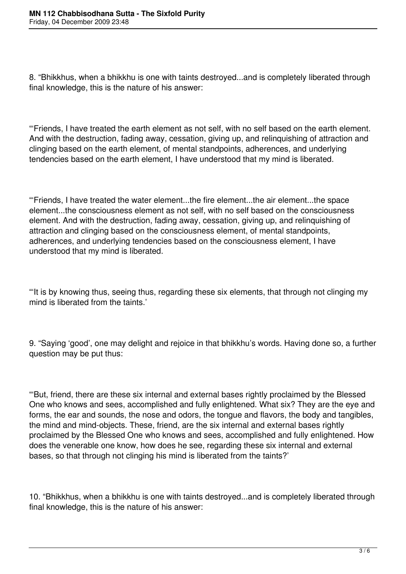8. "Bhikkhus, when a bhikkhu is one with taints destroyed...and is completely liberated through final knowledge, this is the nature of his answer:

"'Friends, I have treated the earth element as not self, with no self based on the earth element. And with the destruction, fading away, cessation, giving up, and relinquishing of attraction and clinging based on the earth element, of mental standpoints, adherences, and underlying tendencies based on the earth element, I have understood that my mind is liberated.

"'Friends, I have treated the water element...the fire element...the air element...the space element...the consciousness element as not self, with no self based on the consciousness element. And with the destruction, fading away, cessation, giving up, and relinquishing of attraction and clinging based on the consciousness element, of mental standpoints, adherences, and underlying tendencies based on the consciousness element, I have understood that my mind is liberated.

"'It is by knowing thus, seeing thus, regarding these six elements, that through not clinging my mind is liberated from the taints.'

9. "Saying 'good', one may delight and rejoice in that bhikkhu's words. Having done so, a further question may be put thus:

"'But, friend, there are these six internal and external bases rightly proclaimed by the Blessed One who knows and sees, accomplished and fully enlightened. What six? They are the eye and forms, the ear and sounds, the nose and odors, the tongue and flavors, the body and tangibles, the mind and mind-objects. These, friend, are the six internal and external bases rightly proclaimed by the Blessed One who knows and sees, accomplished and fully enlightened. How does the venerable one know, how does he see, regarding these six internal and external bases, so that through not clinging his mind is liberated from the taints?'

10. "Bhikkhus, when a bhikkhu is one with taints destroyed...and is completely liberated through final knowledge, this is the nature of his answer: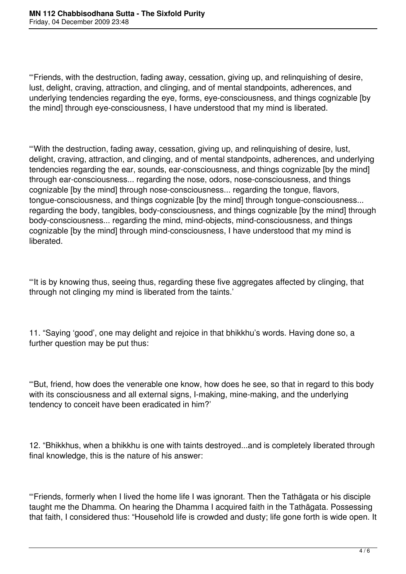"'Friends, with the destruction, fading away, cessation, giving up, and relinquishing of desire, lust, delight, craving, attraction, and clinging, and of mental standpoints, adherences, and underlying tendencies regarding the eye, forms, eye-consciousness, and things cognizable [by the mind] through eye-consciousness, I have understood that my mind is liberated.

"'With the destruction, fading away, cessation, giving up, and relinquishing of desire, lust, delight, craving, attraction, and clinging, and of mental standpoints, adherences, and underlying tendencies regarding the ear, sounds, ear-consciousness, and things cognizable [by the mind] through ear-consciousness... regarding the nose, odors, nose-consciousness, and things cognizable [by the mind] through nose-consciousness... regarding the tongue, flavors, tongue-consciousness, and things cognizable [by the mind] through tongue-consciousness... regarding the body, tangibles, body-consciousness, and things cognizable [by the mind] through body-consciousness... regarding the mind, mind-objects, mind-consciousness, and things cognizable [by the mind] through mind-consciousness, I have understood that my mind is liberated.

"'It is by knowing thus, seeing thus, regarding these five aggregates affected by clinging, that through not clinging my mind is liberated from the taints.'

11. "Saying 'good', one may delight and rejoice in that bhikkhu's words. Having done so, a further question may be put thus:

"'But, friend, how does the venerable one know, how does he see, so that in regard to this body with its consciousness and all external signs, I-making, mine-making, and the underlying tendency to conceit have been eradicated in him?'

12. "Bhikkhus, when a bhikkhu is one with taints destroyed...and is completely liberated through final knowledge, this is the nature of his answer:

"'Friends, formerly when I lived the home life I was ignorant. Then the Tathāgata or his disciple taught me the Dhamma. On hearing the Dhamma I acquired faith in the Tathāgata. Possessing that faith, I considered thus: "Household life is crowded and dusty; life gone forth is wide open. It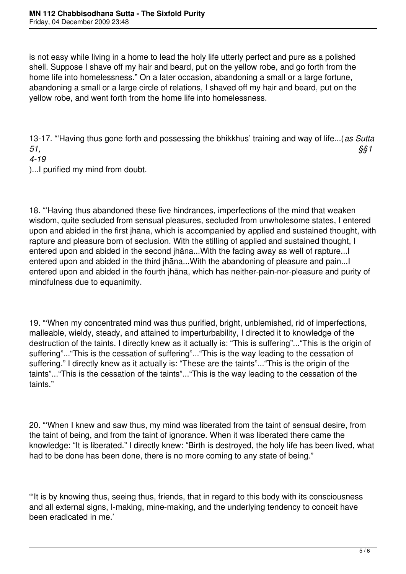is not easy while living in a home to lead the holy life utterly perfect and pure as a polished shell. Suppose I shave off my hair and beard, put on the yellow robe, and go forth from the home life into homelessness." On a later occasion, abandoning a small or a large fortune, abandoning a small or a large circle of relations, I shaved off my hair and beard, put on the yellow robe, and went forth from the home life into homelessness.

13-17. "'Having thus gone forth and possessing the bhikkhus' training and way of life...(*as Sutta 51, §§1*

*4-19*

)...I purified my mind from doubt.

18. "'Having thus abandoned these five hindrances, imperfections of the mind that weaken wisdom, quite secluded from sensual pleasures, secluded from unwholesome states, I entered upon and abided in the first jhāna, which is accompanied by applied and sustained thought, with rapture and pleasure born of seclusion. With the stilling of applied and sustained thought, I entered upon and abided in the second jhāna...With the fading away as well of rapture...I entered upon and abided in the third jhāna...With the abandoning of pleasure and pain...I entered upon and abided in the fourth jhāna, which has neither-pain-nor-pleasure and purity of mindfulness due to equanimity.

19. "'When my concentrated mind was thus purified, bright, unblemished, rid of imperfections, malleable, wieldy, steady, and attained to imperturbability, I directed it to knowledge of the destruction of the taints. I directly knew as it actually is: "This is suffering"..."This is the origin of suffering"..."This is the cessation of suffering"..."This is the way leading to the cessation of suffering." I directly knew as it actually is: "These are the taints"..."This is the origin of the taints"..."This is the cessation of the taints"..."This is the way leading to the cessation of the taints."

20. "'When I knew and saw thus, my mind was liberated from the taint of sensual desire, from the taint of being, and from the taint of ignorance. When it was liberated there came the knowledge: "It is liberated." I directly knew: "Birth is destroyed, the holy life has been lived, what had to be done has been done, there is no more coming to any state of being."

"'It is by knowing thus, seeing thus, friends, that in regard to this body with its consciousness and all external signs, I-making, mine-making, and the underlying tendency to conceit have been eradicated in me.'